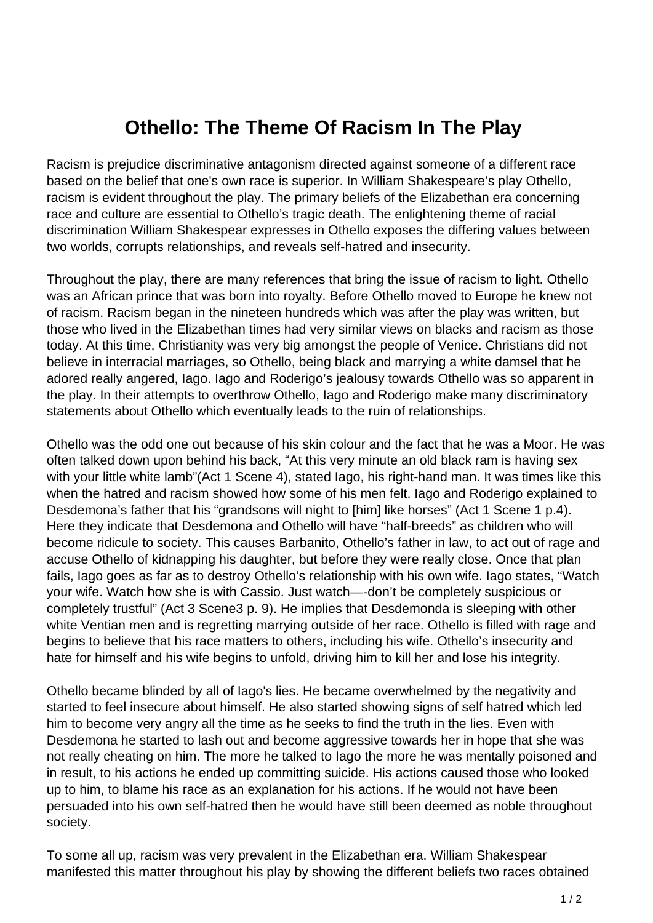## **Othello: The Theme Of Racism In The Play**

Racism is prejudice discriminative antagonism directed against someone of a different race based on the belief that one's own race is superior. In William Shakespeare's play Othello, racism is evident throughout the play. The primary beliefs of the Elizabethan era concerning race and culture are essential to Othello's tragic death. The enlightening theme of racial discrimination William Shakespear expresses in Othello exposes the differing values between two worlds, corrupts relationships, and reveals self-hatred and insecurity.

Throughout the play, there are many references that bring the issue of racism to light. Othello was an African prince that was born into royalty. Before Othello moved to Europe he knew not of racism. Racism began in the nineteen hundreds which was after the play was written, but those who lived in the Elizabethan times had very similar views on blacks and racism as those today. At this time, Christianity was very big amongst the people of Venice. Christians did not believe in interracial marriages, so Othello, being black and marrying a white damsel that he adored really angered, Iago. Iago and Roderigo's jealousy towards Othello was so apparent in the play. In their attempts to overthrow Othello, Iago and Roderigo make many discriminatory statements about Othello which eventually leads to the ruin of relationships.

Othello was the odd one out because of his skin colour and the fact that he was a Moor. He was often talked down upon behind his back, "At this very minute an old black ram is having sex with your little white lamb"(Act 1 Scene 4), stated lago, his right-hand man. It was times like this when the hatred and racism showed how some of his men felt. Iago and Roderigo explained to Desdemona's father that his "grandsons will night to [him] like horses" (Act 1 Scene 1 p.4). Here they indicate that Desdemona and Othello will have "half-breeds" as children who will become ridicule to society. This causes Barbanito, Othello's father in law, to act out of rage and accuse Othello of kidnapping his daughter, but before they were really close. Once that plan fails, Iago goes as far as to destroy Othello's relationship with his own wife. Iago states, "Watch your wife. Watch how she is with Cassio. Just watch—-don't be completely suspicious or completely trustful" (Act 3 Scene3 p. 9). He implies that Desdemonda is sleeping with other white Ventian men and is regretting marrying outside of her race. Othello is filled with rage and begins to believe that his race matters to others, including his wife. Othello's insecurity and hate for himself and his wife begins to unfold, driving him to kill her and lose his integrity.

Othello became blinded by all of Iago's lies. He became overwhelmed by the negativity and started to feel insecure about himself. He also started showing signs of self hatred which led him to become very angry all the time as he seeks to find the truth in the lies. Even with Desdemona he started to lash out and become aggressive towards her in hope that she was not really cheating on him. The more he talked to Iago the more he was mentally poisoned and in result, to his actions he ended up committing suicide. His actions caused those who looked up to him, to blame his race as an explanation for his actions. If he would not have been persuaded into his own self-hatred then he would have still been deemed as noble throughout society.

To some all up, racism was very prevalent in the Elizabethan era. William Shakespear manifested this matter throughout his play by showing the different beliefs two races obtained